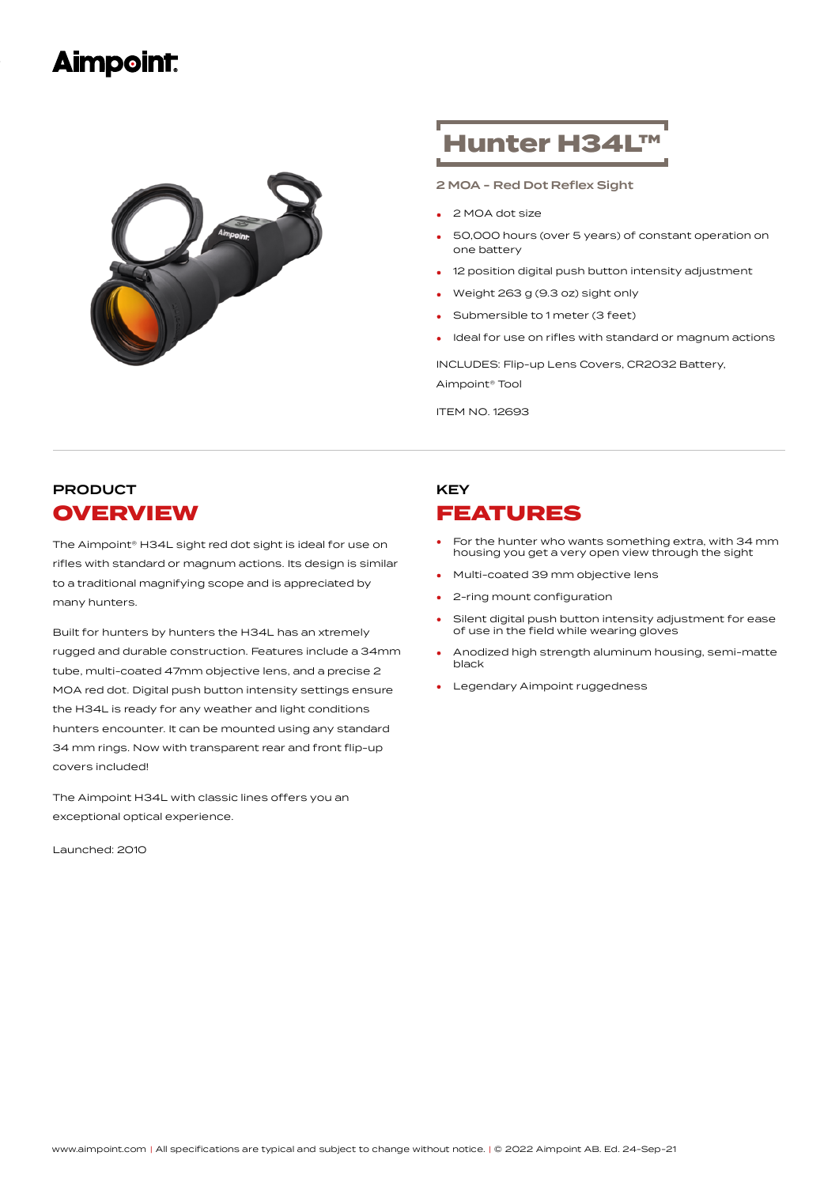## **Aimpoint:**



# Hunter H34L™

2 MOA - Red Dot Reflex Sight

- <sup>2</sup> MOA dot size
- 50,000 hours (over 5 years) of constant operation on one battery •
- 12 position digital push button intensity adjustment
- Weight <sup>263</sup> <sup>g</sup> (9.3 oz) sight only
- Submersible to 1 meter (3 feet)
- Ideal for use on rifles with standard or magnum actions

INCLUDES: Flip-up Lens Covers, CR2032 Battery, Aimpoint® Tool

ITEM NO. 12693

### PRODUCT **OVERVIEW**

The Aimpoint® H34L sight red dot sight is ideal for use on rifles with standard or magnum actions. Its design is similar to a traditional magnifying scope and is appreciated by many hunters.

Built for hunters by hunters the H34L has an xtremely rugged and durable construction. Features include a 34mm tube, multi-coated 47mm objective lens, and a precise 2 MOA red dot. Digital push button intensity settings ensure the H34L is ready for any weather and light conditions hunters encounter. It can be mounted using any standard 34 mm rings. Now with transparent rear and front flip-up covers included!

The Aimpoint H34L with classic lines offers you an exceptional optical experience.

Launched: 2010

## KEY FEATURES

- For the hunter who wants something extra, with 34 mm housing you get a very open view through the sight •
- Multi-coated <sup>39</sup> mm objective lens
- 2-ring mount configuration
- Silent digital push button intensity adjustment for ease of use in the field while wearing gloves •
- Anodized high strength aluminum housing, semi-matte black •
- Legendary Aimpoint ruggedness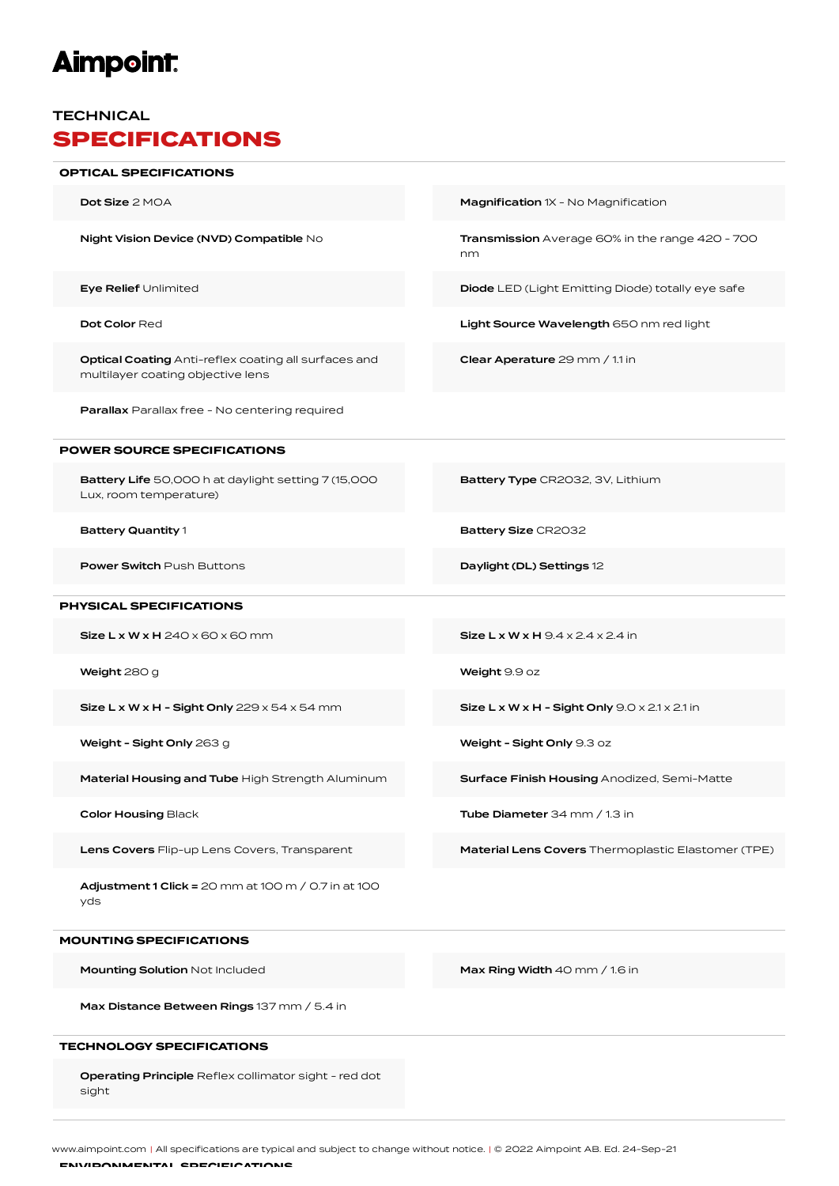# **Aimpoint:**

#### **TECHNICAL** SPECIFICATIONS

## **Dot Size** 2 MOA **Dot Size 2 MOA** Magnification 1X - No Magnification 1X - No Magnification Night Vision Device (NVD) Compatible No Transmission Average 60% in the range 420 - 700 nm Eye Relief Unlimited Diode LED (Light Emitting Diode) totally eye safe Dot Color Red **Light Source Wavelength** 650 nm red light Optical Coating Anti-reflex coating all surfaces and multilayer coating objective lens Clear Aperature 29 mm / 1.1 in Parallax Parallax free - No centering required OPTICAL SPECIFICATIONS Battery Life 50,000 h at daylight setting 7 (15,000 Lux, room temperature) Battery Type CR2032, 3V, Lithium Battery Quantity 1 and Battery Size CR2032 **Power Switch Push Buttons Community Community Community Power Switch Push Buttons 12** POWER SOURCE SPECIFICATIONS  $Size L x W x H 240 x 60 x 60 mm$  Size L x W x H  $9.4 x 2.4 x 2.4$  in Weight 280 g Weight 9.9 oz Size L x W x H - Sight Only  $229 \times 54 \times 54$  mm Size L x W x H - Sight Only  $9.0 \times 2.1 \times 2.1$  in Weight - Sight Only 263 g Network Channel Channel Meight - Sight Only 9.3 oz Material Housing and Tube High Strength Aluminum Surface Finish Housing Anodized, Semi-Matte Color Housing Black **Tube Diameter** 34 mm / 1.3 in Lens Covers Flip-up Lens Covers, Transparent Material Lens Covers Thermoplastic Elastomer (TPE) Adjustment 1 Click = 20 mm at 100 m / 0.7 in at 100 yds PHYSICAL SPECIFICATIONS **Mounting Solution** Not Included **Max Ring Width 40 mm / 1.6 in** MOUNTING SPECIFICATIONS

Max Distance Between Rings 137 mm / 5.4 in

#### TECHNOLOGY SPECIFICATIONS

Operating Principle Reflex collimator sight - red dot sight